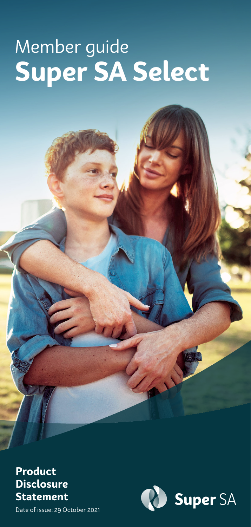# Member guide **Super SA Select**

**Product Disclosure Statement**



Date of issue: 29 October 2021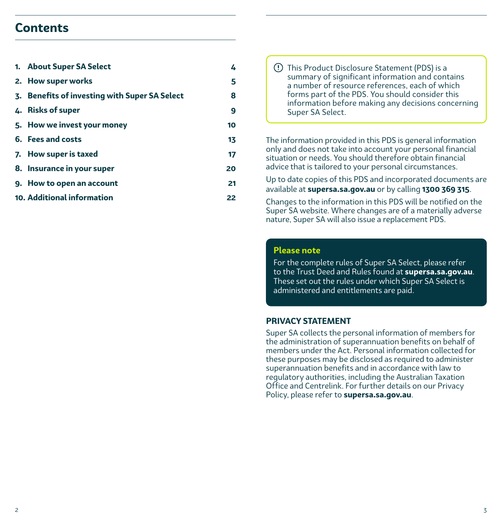### **Contents**

| 1. About Super SA Select                      | 4  |  |
|-----------------------------------------------|----|--|
| 2. How super works                            | 5  |  |
| 3. Benefits of investing with Super SA Select | 8  |  |
| 4. Risks of super                             | 9  |  |
| 5. How we invest your money                   | 10 |  |
| 6. Fees and costs                             | 13 |  |
| 7. How super is taxed                         | 17 |  |
| 8. Insurance in your super                    | 20 |  |
| 9. How to open an account                     | 21 |  |
| 10. Additional information                    | 22 |  |

 This Product Disclosure Statement (PDS) is a summary of significant information and contains a number of resource references, each of which forms part of the PDS. You should consider this information before making any decisions concerning Super SA Select.

The information provided in this PDS is general information only and does not take into account your personal financial situation or needs. You should therefore obtain financial advice that is tailored to your personal circumstances.

Up to date copies of this PDS and incorporated documents are available at **supersa.sa.gov.au** or by calling **1300 369 315**.

Changes to the information in this PDS will be notified on the Super SA website. Where changes are of a materially adverse nature, Super SA will also issue a replacement PDS.

#### **Please note**

For the complete rules of Super SA Select, please refer to the Trust Deed and Rules found at **supersa.sa.gov.au**. These set out the rules under which Super SA Select is administered and entitlements are paid.

#### **PRIVACY STATEMENT**

Super SA collects the personal information of members for the administration of superannuation benefits on behalf of members under the Act. Personal information collected for these purposes may be disclosed as required to administer superannuation benefits and in accordance with law to regulatory authorities, including the Australian Taxation Office and Centrelink. For further details on our Privacy Policy, please refer to **supersa.sa.gov.au**.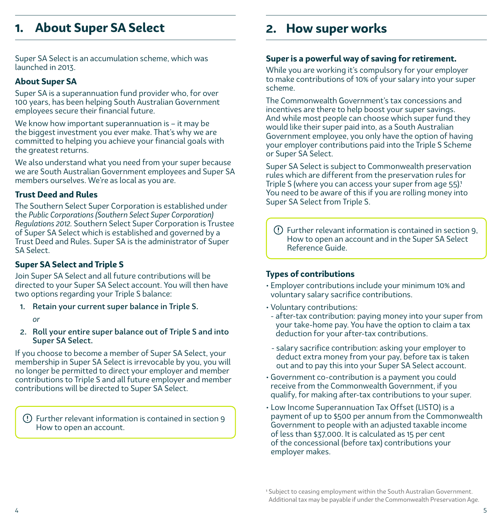### <span id="page-2-0"></span>**1. About Super SA Select**

Super SA Select is an accumulation scheme, which was launched in 2013.

### **About Super SA**

Super SA is a superannuation fund provider who, for over 100 years, has been helping South Australian Government employees secure their financial future.

We know how important superannuation is – it may be the biggest investment you ever make. That's why we are committed to helping you achieve your financial goals with the greatest returns.

We also understand what you need from your super because we are South Australian Government employees and Super SA members ourselves. We're as local as you are.

### **Trust Deed and Rules**

The Southern Select Super Corporation is established under the *Public Corporations (Southern Select Super Corporation) Regulations 2012.* Southern Select Super Corporation is Trustee of Super SA Select which is established and governed by a Trust Deed and Rules. Super SA is the administrator of Super SA Select.

### **Super SA Select and Triple S**

Join Super SA Select and all future contributions will be directed to your Super SA Select account. You will then have two options regarding your Triple S balance:

1. Retain your current super balance in Triple S.

*or*

2. Roll your entire super balance out of Triple S and into Super SA Select.

If you choose to become a member of Super SA Select, your membership in Super SA Select is irrevocable by you, you will no longer be permitted to direct your employer and member contributions to Triple S and all future employer and member contributions will be directed to Super SA Select.

 Further relevant information is contained in section 9 How to open an account.

### **2. How super works**

### **Super is a powerful way of saving for retirement.**

While you are working it's compulsory for your employer to make contributions of 10% of your salary into your super scheme.

The Commonwealth Government's tax concessions and incentives are there to help boost your super savings. And while most people can choose which super fund they would like their super paid into, as a South Australian Government employee, you only have the option of having your employer contributions paid into the Triple S Scheme or Super SA Select.

Super SA Select is subject to Commonwealth preservation rules which are different from the preservation rules for Triple S (where you can access your super from age 55).<sup>1</sup> You need to be aware of this if you are rolling money into Super SA Select from Triple S.

 Further relevant information is contained in section 9, How to open an account and in the Super SA Select Reference Guide.

### **Types of contributions**

- Employer contributions include your minimum 10% and voluntary salary sacrifice contributions.
- Voluntary contributions:
- after-tax contribution: paying money into your super from your take-home pay. You have the option to claim a tax deduction for your after-tax contributions.
- salary sacrifice contribution: asking your employer to deduct extra money from your pay, before tax is taken out and to pay this into your Super SA Select account.
- Government co-contribution is a payment you could receive from the Commonwealth Government, if you qualify, for making after-tax contributions to your super.
- Low Income Superannuation Tax Offset (LISTO) is a payment of up to \$500 per annum from the Commonwealth Government to people with an adjusted taxable income of less than \$37,000. It is calculated as 15 per cent of the concessional (before tax) contributions your employer makes.

<sup>1</sup> Subject to ceasing employment within the South Australian Government. Additional tax may be payable if under the Commonwealth Preservation Age.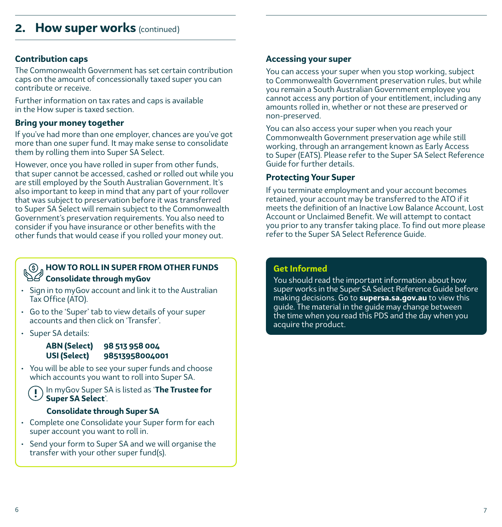### **Contribution caps**

The Commonwealth Government has set certain contribution caps on the amount of concessionally taxed super you can contribute or receive.

Further information on tax rates and caps is available in the How super is taxed section.

### **Bring your money together**

If you've had more than one employer, chances are you've got more than one super fund. It may make sense to consolidate them by rolling them into Super SA Select.

However, once you have rolled in super from other funds, that super cannot be accessed, cashed or rolled out while you are still employed by the South Australian Government. It's also important to keep in mind that any part of your rollover that was subject to preservation before it was transferred to Super SA Select will remain subject to the Commonwealth Government's preservation requirements. You also need to consider if you have insurance or other benefits with the other funds that would cease if you rolled your money out.

### **HOW TO ROLL IN SUPER FROM OTHER FUNDS Consolidate through myGov**

- Sign in to myGov account and link it to the Australian Tax Office (ATO).
- Go to the 'Super' tab to view details of your super accounts and then click on 'Transfer'.
- Super SA details:

### **ABN (Select) 98 513 958 004 USI (Select) 98513958004001**

• You will be able to see your super funds and choose which accounts you want to roll into Super SA.

In myGov Super SA is listed as '**The Trustee for Super SA Select**'.

### **Consolidate through Super SA**

- Complete one Consolidate your Super form for each super account you want to roll in.
- Send your form to Super SA and we will organise the transfer with your other super fund(s).

### **Accessing your super**

You can access your super when you stop working, subject to Commonwealth Government preservation rules, but while you remain a South Australian Government employee you cannot access any portion of your entitlement, including any amounts rolled in, whether or not these are preserved or non-preserved.

You can also access your super when you reach your Commonwealth Government preservation age while still working, through an arrangement known as Early Access to Super (EATS). Please refer to the Super SA Select Reference Guide for further details.

### **Protecting Your Super**

If you terminate employment and your account becomes retained, your account may be transferred to the ATO if it meets the definition of an Inactive Low Balance Account, Lost Account or Unclaimed Benefit. We will attempt to contact you prior to any transfer taking place. To find out more please refer to the Super SA Select Reference Guide.

### **Get Informed**

You should read the important information about how super works in the Super SA Select Reference Guide before making decisions. Go to **supersa.sa.gov.au** to view this guide. The material in the guide may change between the time when you read this PDS and the day when you acquire the product.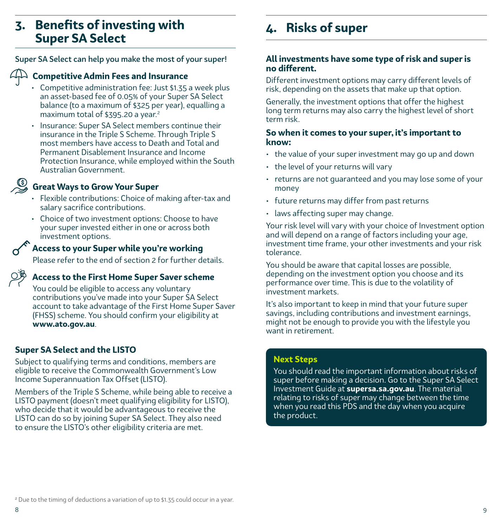### <span id="page-4-0"></span>**3. Benefits of investing with Super SA Select**

Super SA Select can help you make the most of your super!

### **Competitive Admin Fees and Insurance**

- Competitive administration fee: Just \$1.35 a week plus an asset-based fee of 0.05% of your Super SA Select balance (to a maximum of \$325 per year), equalling a maximum total of \$395.20 a year. $2$
- Insurance: Super SA Select members continue their insurance in the Triple S Scheme. Through Triple S most members have access to Death and Total and Permanent Disablement Insurance and Income Protection Insurance, while employed within the South Australian Government.

### **Great Ways to Grow Your Super**

- Flexible contributions: Choice of making after-tax and salary sacrifice contributions.
- Choice of two investment options: Choose to have your super invested either in one or across both investment options.

### **Access to your Super while you're working**

Please refer to the end of section 2 for further details.

### **Access to the First Home Super Saver scheme**

You could be eligible to access any voluntary contributions you've made into your Super SA Select account to take advantage of the First Home Super Saver (FHSS) scheme. You should confirm your eligibility at **www.ato.gov.au**.

### **Super SA Select and the LISTO**

Subject to qualifying terms and conditions, members are eligible to receive the Commonwealth Government's Low Income Superannuation Tax Offset (LISTO).

Members of the Triple S Scheme, while being able to receive a LISTO payment (doesn't meet qualifying eligibility for LISTO), who decide that it would be advantageous to receive the LISTO can do so by joining Super SA Select. They also need to ensure the LISTO's other eligibility criteria are met.

## **4. Risks of super**

### **All investments have some type of risk and super is no different.**

Different investment options may carry different levels of risk, depending on the assets that make up that option.

Generally, the investment options that offer the highest long term returns may also carry the highest level of short term risk.

### **So when it comes to your super, it's important to know:**

- the value of your super investment may go up and down
- the level of your returns will vary
- returns are not guaranteed and you may lose some of your money
- future returns may differ from past returns
- laws affecting super may change.

Your risk level will vary with your choice of Investment option and will depend on a range of factors including your age, investment time frame, your other investments and your risk tolerance.

You should be aware that capital losses are possible, depending on the investment option you choose and its performance over time. This is due to the volatility of investment markets.

It's also important to keep in mind that your future super savings, including contributions and investment earnings, might not be enough to provide you with the lifestyle you want in retirement.

### **Next Steps**

You should read the important information about risks of super before making a decision. Go to the Super SA Select Investment Guide at **supersa.sa.gov.au**. The material relating to risks of super may change between the time when you read this PDS and the day when you acquire the product.

<sup>2</sup> Due to the timing of deductions a variation of up to \$1.35 could occur in a year.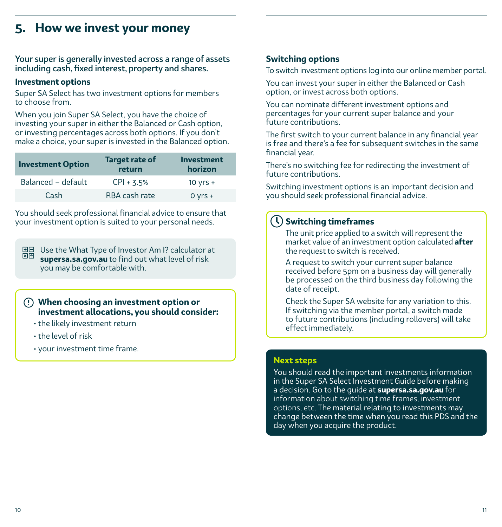### <span id="page-5-0"></span>**5. How we invest your money**

Your super is generally invested across a range of assets including cash, fixed interest, property and shares.

### **Investment options**

Super SA Select has two investment options for members to choose from.

When you join Super SA Select, you have the choice of investing your super in either the Balanced or Cash option, or investing percentages across both options. If you don't make a choice, your super is invested in the Balanced option.

| <b>Investment Option</b> | <b>Target rate of</b><br>return | <b>Investment</b><br>horizon |
|--------------------------|---------------------------------|------------------------------|
| Balanced - default       | $CPI + 3.5%$                    | $10 yrs +$                   |
| Cash                     | RBA cash rate                   | $0 yrs +$                    |

You should seek professional financial advice to ensure that your investment option is suited to your personal needs.

 $\Box$  Use the What Type of Investor Am I? calculator at  $\Box$ **supersa.sa.gov.au** to find out what level of risk you may be comfortable with.

### **When choosing an investment option or investment allocations, you should consider:**

- the likely investment return
- the level of risk
- your investment time frame.

### **Switching options**

To switch investment options log into our online member portal.

You can invest your super in either the Balanced or Cash option, or invest across both options.

You can nominate different investment options and percentages for your current super balance and your future contributions.

The first switch to your current balance in any financial year is free and there's a fee for subsequent switches in the same financial year.

There's no switching fee for redirecting the investment of future contributions.

Switching investment options is an important decision and you should seek professional financial advice.

### **Switching timeframes**

The unit price applied to a switch will represent the market value of an investment option calculated **after** the request to switch is received.

A request to switch your current super balance received before 5pm on a business day will generally be processed on the third business day following the date of receipt.

Check the Super SA website for any variation to this. If switching via the member portal, a switch made to future contributions (including rollovers) will take effect immediately.

### **Next steps**

You should read the important investments information in the Super SA Select Investment Guide before making a decision. Go to the guide at **supersa.sa.gov.au** for information about switching time frames, investment options, etc. The material relating to investments may change between the time when you read this PDS and the day when you acquire the product.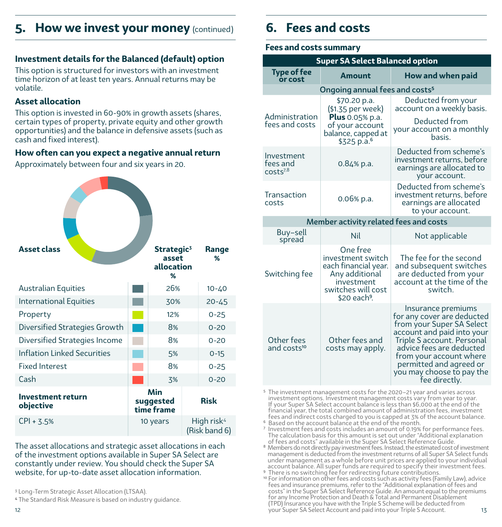### <span id="page-6-0"></span>**5. How we invest your money** (continued) **6. Fees and costs**

### **Investment details for the Balanced (default) option**

This option is structured for investors with an investment time horizon of at least ten years. Annual returns may be volatile.

### **Asset allocation**

This option is invested in 60-90% in growth assets (shares, certain types of property, private equity and other growth opportunities) and the balance in defensive assets (such as cash and fixed interest).

### **How often can you expect a negative annual return**

Approximately between four and six years in 20.

| <b>Asset class</b>                    | Strategic <sup>3</sup><br>asset<br>allocation<br>% | Range<br>%                              |
|---------------------------------------|----------------------------------------------------|-----------------------------------------|
| <b>Australian Equities</b>            | 26%                                                | $10 - 40$                               |
| <b>International Equities</b>         | 30%                                                | $20 - 45$                               |
| Property                              | 12%                                                | $0 - 25$                                |
| Diversified Strategies Growth         | 8%                                                 | $0 - 20$                                |
| Diversified Strategies Income         | 8%                                                 | $0 - 20$                                |
| <b>Inflation Linked Securities</b>    | 5%                                                 | $0 - 15$                                |
| <b>Fixed Interest</b>                 | 8%                                                 | $0 - 25$                                |
| Cash                                  | 3%                                                 | $0 - 20$                                |
| <b>Investment return</b><br>objective | Min<br>suggested<br>time frame                     | <b>Risk</b>                             |
| $CPI + 3.5%$                          | 10 years                                           | High risk <sup>4</sup><br>(Risk band 6) |

The asset allocations and strategic asset allocations in each of the investment options available in Super SA Select are constantly under review. You should check the Super SA website, for up-to-date asset allocation information.

3 Long-Term Strategic Asset Allocation (LTSAA).

**<sup>4</sup>** The Standard Risk Measure is based on industry guidance.

### **Fees and costs summary**

| <b>Super SA Select Balanced option</b>         |                                                                                                                                         |                                                                                                                                                                                                                                                                           |  |  |  |
|------------------------------------------------|-----------------------------------------------------------------------------------------------------------------------------------------|---------------------------------------------------------------------------------------------------------------------------------------------------------------------------------------------------------------------------------------------------------------------------|--|--|--|
| <b>Type of fee</b><br><b>Amount</b><br>or cost |                                                                                                                                         | How and when paid                                                                                                                                                                                                                                                         |  |  |  |
|                                                | Ongoing annual fees and costs <sup>5</sup>                                                                                              |                                                                                                                                                                                                                                                                           |  |  |  |
| Administration                                 | \$70.20 p.a.<br>(\$1.35 per week)                                                                                                       | Deducted from your<br>account on a weekly basis.                                                                                                                                                                                                                          |  |  |  |
| fees and costs                                 | <b>Plus</b> 0.05% p.a.<br>of your account<br>balance, capped at<br>\$325 p.a. <sup>6</sup>                                              | Deducted from<br>your account on a monthly<br>hasis.                                                                                                                                                                                                                      |  |  |  |
| Investment<br>fees and<br>$costs^{7,8}$        | $0.84\%$ p.a.                                                                                                                           | Deducted from scheme's<br>investment returns, before<br>earnings are allocated to<br>your account.                                                                                                                                                                        |  |  |  |
| Transaction<br>costs                           | 0.06% p.a.                                                                                                                              | Deducted from scheme's<br>investment returns, before<br>earnings are allocated<br>to your account.                                                                                                                                                                        |  |  |  |
|                                                | Member activity related fees and costs                                                                                                  |                                                                                                                                                                                                                                                                           |  |  |  |
| Buy-sell<br>spread                             | <b>Nil</b>                                                                                                                              | Not applicable                                                                                                                                                                                                                                                            |  |  |  |
| Switching fee                                  | One free<br>investment switch<br>each financial year.<br>Any additional<br>investment<br>switches will cost<br>\$20 each <sup>9</sup> . | The fee for the second<br>and subsequent switches<br>are deducted from your<br>account at the time of the<br>switch.                                                                                                                                                      |  |  |  |
| Other fees<br>and costs <sup>10</sup>          | Other fees and<br>costs may apply.                                                                                                      | Insurance premiums<br>for any cover are deducted<br>from your Super SA Select<br>account and paid into your<br>Triple S account. Personal<br>advice fees are deducted<br>from your account where<br>permitted and agreed or<br>you may choose to pay the<br>fee directly. |  |  |  |

5 The investment management costs for the 2020–21 year and varies across investment options. Investment management costs vary from year to year. If your Super SA Select account balance is less than \$6,000 at the end of the financial year, the total combined amount of administration fees, investment fees and indirect costs charged to you is capped at 3% of the account balance. <sup>6</sup> Based on the account balance at the end of the month.

7 Investment fees and costs includes an amount of 0.19% for performance fees. The calculation basis for this amount is set out under "Additional explanation

of fees and costs" available in the Super SA Select Reference Guide.

<sup>8</sup> Members do not directly pay investment fees. Instead, the estimated cost of investment management is deducted from the investment returns of all Super SA Select funds under management as a whole before unit prices are applied to your individual<br>account balance. All super funds are required to specify their investment fees.<br><sup>9</sup> There is no switching fee for redirecting future contributio

12 13 your Super SA Select Account and paid into your Triple S Account.o For information on other fees and costs such as activity fees (Family Law), advice fees and insurance premiums, refer to the "Additional explanation of fees and<br>fees and insurance premiums, refer to the costs" in the Sup for any Income Protection and Death & Total and Permanent Disablement (TPD) Insurance you have with the Triple S Scheme will be deducted from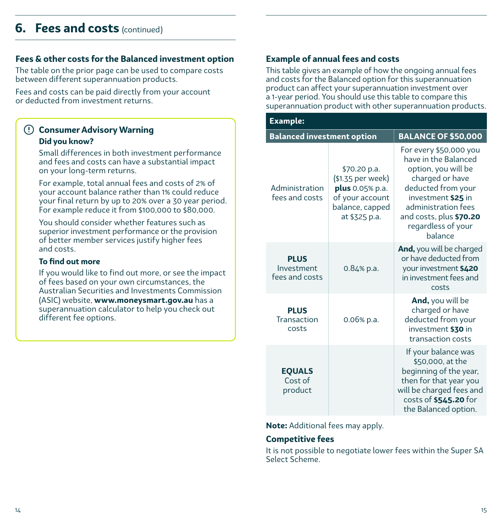### <span id="page-7-0"></span>**6. Fees and costs** (continued)

### **Fees & other costs for the Balanced investment option**

The table on the prior page can be used to compare costs between different superannuation products.

Fees and costs can be paid directly from your account or deducted from investment returns.

### **Consumer Advisory Warning Did you know?**

Small differences in both investment performance and fees and costs can have a substantial impact on your long-term returns.

For example, total annual fees and costs of 2% of your account balance rather than 1% could reduce your final return by up to 20% over a 30 year period. For example reduce it from \$100,000 to \$80,000.

You should consider whether features such as superior investment performance or the provision of better member services justify higher fees and costs.

#### **To find out more**

If you would like to find out more, or see the impact of fees based on your own circumstances, the Australian Securities and Investments Commission (ASIC) website, **www.moneysmart.gov.au** has a superannuation calculator to help you check out different fee options.

### **Example of annual fees and costs**

This table gives an example of how the ongoing annual fees and costs for the Balanced option for this superannuation product can affect your superannuation investment over a 1-year period. You should use this table to compare this superannuation product with other superannuation products.

| <b>Example:</b>                             |                                                                                                             |                                                                                                                                                                                                                         |  |  |  |
|---------------------------------------------|-------------------------------------------------------------------------------------------------------------|-------------------------------------------------------------------------------------------------------------------------------------------------------------------------------------------------------------------------|--|--|--|
| <b>Balanced investment option</b>           |                                                                                                             | <b>BALANCE OF \$50,000</b>                                                                                                                                                                                              |  |  |  |
| Administration<br>fees and costs            | \$70.20 p.a.<br>(\$1.35 per week)<br>plus 0.05% p.a.<br>of your account<br>balance, capped<br>at \$325 p.a. | For every \$50,000 you<br>have in the Balanced<br>option, you will be<br>charged or have<br>deducted from your<br>investment \$25 in<br>administration fees<br>and costs, plus \$70.20<br>regardless of your<br>balance |  |  |  |
| <b>PLUS</b><br>Investment<br>fees and costs | 0.84% p.a.                                                                                                  | And, you will be charged<br>or have deducted from<br>your investment \$420<br>in investment fees and<br>costs                                                                                                           |  |  |  |
| <b>PLUS</b><br>Transaction<br>costs         | 0.06% p.a.                                                                                                  | And, you will be<br>charged or have<br>deducted from your<br>investment \$30 in<br>transaction costs                                                                                                                    |  |  |  |
| <b>EQUALS</b><br>Cost of<br>product         |                                                                                                             | If your balance was<br>\$50,000, at the<br>beginning of the year,<br>then for that year you<br>will be charged fees and<br>costs of \$545.20 for<br>the Balanced option.                                                |  |  |  |

**Note:** Additional fees may apply.

#### **Competitive fees**

It is not possible to negotiate lower fees within the Super SA Select Scheme.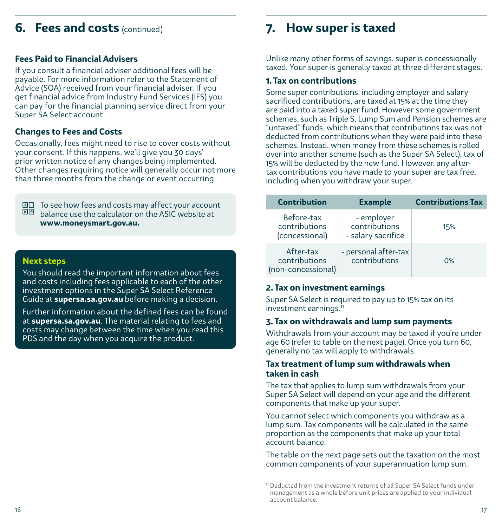### **6. Fees and costs** (continued)

### **Fees Paid to Financial Advisers**

If you consult a financial adviser additional fees will be payable. For more information refer to the Statement of Advice (SOA) received from your financial adviser. If you get financial advice from Industry Fund Services (IFS) you can pay for the financial planning service direct from your Super SA Select account.

### **Changes to Fees and Costs**

Occasionally, fees might need to rise to cover costs without your consent. If this happens, we'll give you 30 days' prior written notice of any changes being implemented. Other changes requiring notice will generally occur not more than three months from the change or event occurring.

田日 To see how fees and costs may affect your account  $\overline{\boxtimes}$  balance use the calculator on the ASIC website at **www.moneysmart.gov.au.**

### **Next steps**

You should read the important information about fees and costs including fees applicable to each of the other investment options in the Super SA Select Reference Guide at **supersa.sa.gov.au** before making a decision.

Further information about the defined fees can be found at **supersa.sa.gov.au**. The material relating to fees and costs may change between the time when you read this PDS and the day when you acquire the product.

### **7. How super is taxed**

Unlike many other forms of savings, super is concessionally taxed. Your super is generally taxed at three different stages.

### **1. Tax on contributions**

Some super contributions, including employer and salary sacrificed contributions, are taxed at 15% at the time they are paid into a taxed super fund. However some government schemes, such as Triple S, Lump Sum and Pension schemes are "untaxed" funds, which means that contributions tax was not deducted from contributions when they were paid into these schemes. Instead, when money from these schemes is rolled over into another scheme (such as the Super SA Select), tax of 15% will be deducted by the new fund. However, any aftertax contributions you have made to your super are tax free, including when you withdraw your super.

| <b>Contribution</b>                              | <b>Example</b>                                    | <b>Contributions Tax</b> |
|--------------------------------------------------|---------------------------------------------------|--------------------------|
| Before-tax<br>contributions<br>(concessional)    | - employer<br>contributions<br>- salary sacrifice | 15%                      |
| After-tax<br>contributions<br>(non-concessional) | - personal after-tax<br>contributions             | 0%                       |

### **2. Tax on investment earnings**

Super SA Select is required to pay up to 15% tax on its investment earnings.<sup>11</sup>

### **3. Tax on withdrawals and lump sum payments**

Withdrawals from your account may be taxed if you're under age 60 (refer to table on the next page). Once you turn 60, generally no tax will apply to withdrawals.

### **Tax treatment of lump sum withdrawals when taken in cash**

The tax that applies to lump sum withdrawals from your Super SA Select will depend on your age and the different components that make up your super.

You cannot select which components you withdraw as a lump sum. Tax components will be calculated in the same proportion as the components that make up your total account balance.

The table on the next page sets out the taxation on the most common components of your superannuation lump sum.

<sup>11</sup> Deducted from the investment returns of all Super SA Select funds under management as a whole before unit prices are applied to your individual account balance.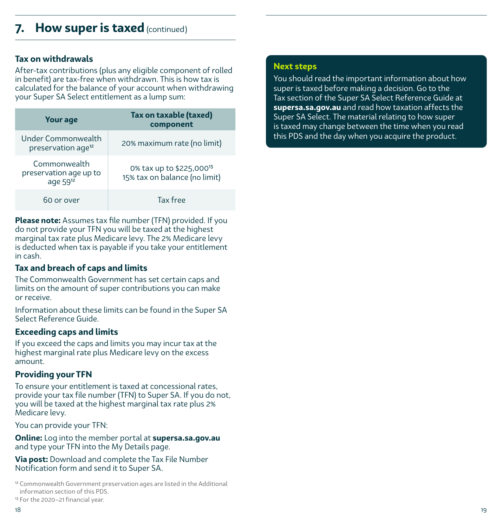### <span id="page-9-0"></span>**How super is taxed** (continued)

### **Tax on withdrawals**

After-tax contributions (plus any eligible component of rolled in benefit) are tax-free when withdrawn. This is how tax is calculated for the balance of your account when withdrawing your Super SA Select entitlement as a lump sum:

| <b>Your age</b>                                         | Tax on taxable (taxed)<br>component                                   |
|---------------------------------------------------------|-----------------------------------------------------------------------|
| Under Commonwealth<br>preservation age <sup>12</sup>    | 20% maximum rate (no limit)                                           |
| Commonwealth<br>preservation age up to<br>age $59^{12}$ | 0% tax up to \$225,000 <sup>13</sup><br>15% tax on balance (no limit) |
| 60 or over                                              | Tax free                                                              |

**Please note:** Assumes tax file number (TFN) provided. If you do not provide your TFN you will be taxed at the highest marginal tax rate plus Medicare levy. The 2% Medicare levy is deducted when tax is payable if you take your entitlement in cash.

### **Tax and breach of caps and limits**

The Commonwealth Government has set certain caps and limits on the amount of super contributions you can make or receive.

Information about these limits can be found in the Super SA Select Reference Guide.

### **Exceeding caps and limits**

If you exceed the caps and limits you may incur tax at the highest marginal rate plus Medicare levy on the excess amount.

### **Providing your TFN**

To ensure your entitlement is taxed at concessional rates, provide your tax file number (TFN) to Super SA. If you do not, you will be taxed at the highest marginal tax rate plus 2% Medicare levy.

You can provide your TFN:

**Online:** Log into the member portal at **supersa.sa.gov.au**  and type your TFN into the My Details page.

**Via post:** Download and complete the Tax File Number Notification form and send it to Super SA.

<sup>12</sup> Commonwealth Government preservation ages are listed in the Additional information section of this PDS.

<sup>13</sup> For the 2020–21 financial year.

#### 18 19

### **Next steps**

You should read the important information about how super is taxed before making a decision. Go to the Tax section of the Super SA Select Reference Guide at **supersa.sa.gov.au** and read how taxation affects the Super SA Select. The material relating to how super is taxed may change between the time when you read this PDS and the day when you acquire the product.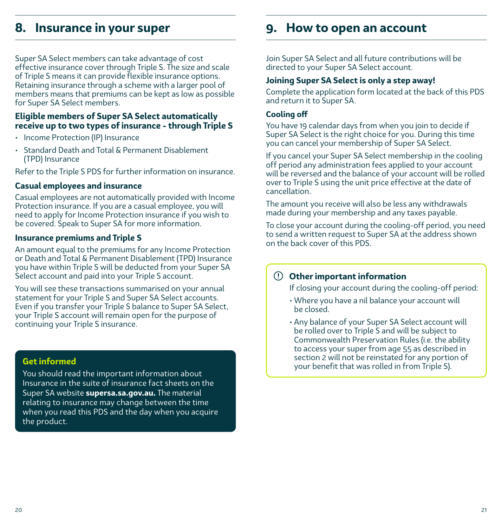### <span id="page-10-0"></span>**8. Insurance in your super**

Super SA Select members can take advantage of cost effective insurance cover through Triple S. The size and scale of Triple S means it can provide flexible insurance options. Retaining insurance through a scheme with a larger pool of members means that premiums can be kept as low as possible for Super SA Select members.

### **Eligible members of Super SA Select automatically receive up to two types of insurance - through Triple S**

- Income Protection (IP) Insurance
- Standard Death and Total & Permanent Disablement (TPD) Insurance

Refer to the Triple S PDS for further information on insurance.

#### **Casual employees and insurance**

Casual employees are not automatically provided with Income Protection insurance. If you are a casual employee, you will need to apply for Income Protection insurance if you wish to be covered. Speak to Super SA for more information.

#### **Insurance premiums and Triple S**

An amount equal to the premiums for any Income Protection or Death and Total & Permanent Disablement (TPD) Insurance you have within Triple S will be deducted from your Super SA Select account and paid into your Triple S account.

You will see these transactions summarised on your annual statement for your Triple S and Super SA Select accounts. Even if you transfer your Triple S balance to Super SA Select, your Triple S account will remain open for the purpose of continuing your Triple S insurance.

### **Get informed**

You should read the important information about Insurance in the suite of insurance fact sheets on the Super SA website **supersa.sa.gov.au.** The material relating to insurance may change between the time when you read this PDS and the day when you acquire the product.

### **9. How to open an account**

Join Super SA Select and all future contributions will be directed to your Super SA Select account.

#### **Joining Super SA Select is only a step away!**

Complete the application form located at the back of this PDS and return it to Super SA.

#### **Cooling off**

You have 19 calendar days from when you join to decide if Super SA Select is the right choice for you. During this time you can cancel your membership of Super SA Select.

If you cancel your Super SA Select membership in the cooling off period any administration fees applied to your account will be reversed and the balance of your account will be rolled over to Triple S using the unit price effective at the date of cancellation.

The amount you receive will also be less any withdrawals made during your membership and any taxes payable.

To close your account during the cooling-off period, you need to send a written request to Super SA at the address shown on the back cover of this PDS.

### **Other important information**

If closing your account during the cooling-off period:

- Where you have a nil balance your account will be closed.
- Any balance of your Super SA Select account will be rolled over to Triple S and will be subject to Commonwealth Preservation Rules (i.e. the ability to access your super from age 55 as described in section 2 will not be reinstated for any portion of your benefit that was rolled in from Triple S).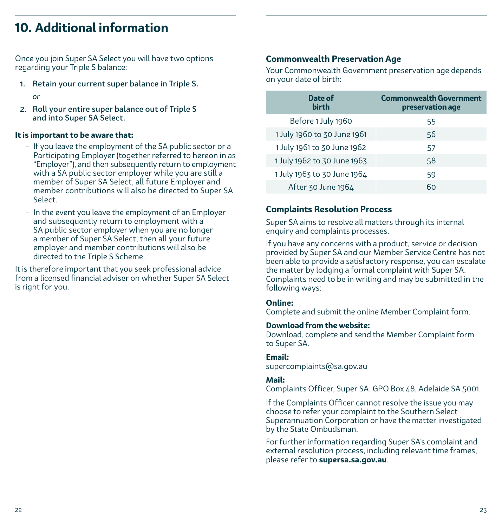## **10. Additional information**

Once you join Super SA Select you will have two options regarding your Triple S balance:

- 1. Retain your current super balance in Triple S.
	- *or*
- 2. Roll your entire super balance out of Triple S and into Super SA Select.

### **It is important to be aware that:**

- If you leave the employment of the SA public sector or a Participating Employer (together referred to hereon in as "Employer"), and then subsequently return to employment with a SA public sector employer while you are still a member of Super SA Select, all future Employer and member contributions will also be directed to Super SA Select.
- In the event you leave the employment of an Employer and subsequently return to employment with a SA public sector employer when you are no longer a member of Super SA Select, then all your future employer and member contributions will also be directed to the Triple S Scheme.

It is therefore important that you seek professional advice from a licensed financial adviser on whether Super SA Select is right for you.

### **Commonwealth Preservation Age**

Your Commonwealth Government preservation age depends on your date of birth:

| Date of<br>hirth            | <b>Commonwealth Government</b><br>preservation age |
|-----------------------------|----------------------------------------------------|
| Before 1 July 1960          | 55                                                 |
| 1 July 1960 to 30 June 1961 | 56                                                 |
| 1 July 1961 to 30 June 1962 | 57                                                 |
| 1 July 1962 to 30 June 1963 | 58                                                 |
| 1 July 1963 to 30 June 1964 | 59                                                 |
| After 30 June 1964          | 60                                                 |

### **Complaints Resolution Process**

Super SA aims to resolve all matters through its internal enquiry and complaints processes.

If you have any concerns with a product, service or decision provided by Super SA and our Member Service Centre has not been able to provide a satisfactory response, you can escalate the matter by lodging a formal complaint with Super SA. Complaints need to be in writing and may be submitted in the following ways:

### **Online:**

Complete and submit the online Member Complaint form.

### **Download from the website:**

Download, complete and send the Member Complaint form to Super SA.

### **Email:**

supercomplaints@sa.gov.au

### **Mail:**

Complaints Officer, Super SA, GPO Box 48, Adelaide SA 5001.

If the Complaints Officer cannot resolve the issue you may choose to refer your complaint to the Southern Select Superannuation Corporation or have the matter investigated by the State Ombudsman.

For further information regarding Super SA's complaint and external resolution process, including relevant time frames, please refer to **supersa.sa.gov.au**.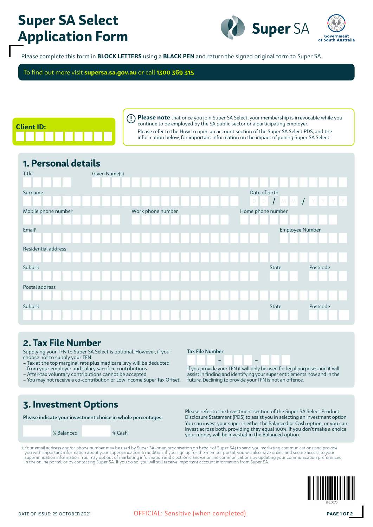# **Super SA Select Application Form**



Please complete this form in **BLOCK LETTERS** using a **BLACK PEN** and return the signed original form to Super SA.

To find out more visit **supersa.sa.gov.au** or call **1300 369 315**



**Please note** that once you join Super SA Select, your membership is irrevocable while you  $\left( \cdot \right)$ continue to be employed by the SA public sector or a participating employer. Please refer to the How to open an account section of the Super SA Select PDS, and the information below, for important information on the impact of joining Super SA Select.

## **1. Personal details**

| Title               | Given Name(s) |                   |                          |                                                                                                                                                                                                                                                                                                                                                                                                                                                  |
|---------------------|---------------|-------------------|--------------------------|--------------------------------------------------------------------------------------------------------------------------------------------------------------------------------------------------------------------------------------------------------------------------------------------------------------------------------------------------------------------------------------------------------------------------------------------------|
| Surname             |               |                   | Date of birth<br>$D$ $D$ | $\begin{array}{c c c c c c c} & & & \text{if} & \text{if} & \text{if} & \text{if} & \text{if} & \text{if} & \text{if} & \text{if} & \text{if} & \text{if} & \text{if} & \text{if} & \text{if} & \text{if} & \text{if} & \text{if} & \text{if} & \text{if} & \text{if} & \text{if} & \text{if} & \text{if} & \text{if} & \text{if} & \text{if} & \text{if} & \text{if} & \text{if} & \text{if} & \text{if} & \text{if} & \text{if} & \text{if} &$ |
| Mobile phone number |               | Work phone number | Home phone number        |                                                                                                                                                                                                                                                                                                                                                                                                                                                  |
| Email <sup>1</sup>  |               |                   | Employee Number          |                                                                                                                                                                                                                                                                                                                                                                                                                                                  |
| Residential address |               |                   |                          |                                                                                                                                                                                                                                                                                                                                                                                                                                                  |
| Suburb              |               |                   | <b>State</b>             | Postcode                                                                                                                                                                                                                                                                                                                                                                                                                                         |
| Postal address      |               |                   |                          |                                                                                                                                                                                                                                                                                                                                                                                                                                                  |
|                     |               |                   |                          |                                                                                                                                                                                                                                                                                                                                                                                                                                                  |
| Suburb              |               |                   | State                    | Postcode                                                                                                                                                                                                                                                                                                                                                                                                                                         |

## **2. Tax File Number**

Supplying your TFN to Super SA Select is optional. However, if you choose not to supply your TFN:

- Tax at the top marginal rate plus medicare levy will be deducted from your employer and salary sacrifice contributions.
- After-tax voluntary contributions cannot be accepted.
- You may not receive a co-contribution or Low Income Super Tax Offset.

### Tax File Number

– –

If you provide your TFN it will only be used for legal purposes and it will assist in finding and identifying your super entitlements now and in the future. Declining to provide your TFN is not an offence.

## **3. Investment Options**

Please indicate your investment choice in whole percentages:

Please refer to the Investment section of the Super SA Select Product Disclosure Statement (PDS) to assist you in selecting an investment option. You can invest your super in either the Balanced or Cash option, or you can invest across both, providing they equal 100%. If you don't make a choice % Balanced % Cash will be invested in the Balanced % Cash will be invested in the Balanced option.

1. Your email address and/or phone number may be used by Super SA (or an organisation on behalf of Super SA) to send you marketing communications and provide you with important information about your superannuation. In addition, if you sign up for the member portal, you will also have online and secure access to your<br>superannuation information. You may opt out of marketing info

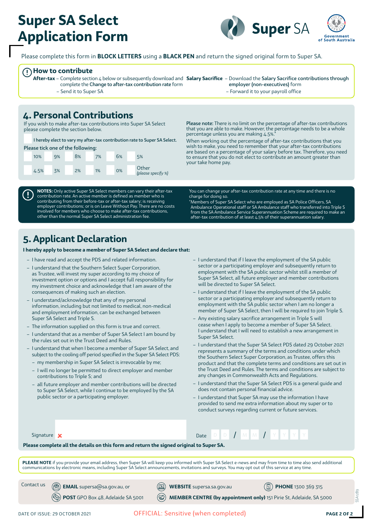# **Super SA Select Application Form**



Please complete this form in **BLOCK LETTERS** using a **BLACK PEN** and return the signed original form to Super SA.

**How to contribute**

T

complete the Change to after-tax contribution rate form – Send it to Super SA

**After-tax** – Complete section 4 below or subsequently download and **Salary Sacrifice** – Download the Salary Sacrifice contributions through employer (non-executives) form – Forward it to your payroll office

## **4. Personal Contributions**

If you wish to make after-tax contributions into Super SA Select please complete the section below.

I hereby elect to vary my after-tax contribution rate to Super SA Select. Please tick one of the following:

|      |    | <b>I lease lick one of the following.</b> |    |    |                             |
|------|----|-------------------------------------------|----|----|-----------------------------|
| 10%  | 9% | 8%                                        | 7% | 6% | 5%                          |
| 4.5% | 3% | 2%                                        | 1% | 0% | Other<br>(please specify %) |

**NOTES:** Only active Super SA Select members can vary their after-tax contribution rate. An active member is defined as member who is contributing from their before-tax or after-tax salary; is receiving employer contributions; or is on Leave Without Pay. There are no costs involved for members who choose to make after-tax contributions, other than the normal Super SA Select administration fee.

Please note: There is no limit on the percentage of after-tax contributions that you are able to make. However, the percentage needs to be a whole percentage unless you are making 4.5%.\*

When working out the percentage of after-tax contributions that you wish to make, you need to remember that your after-tax contributions are based on a percentage of your salary before tax. Therefore, you need to ensure that you do not elect to contribute an amount greater than your take home pay.

You can change your after-tax contribution rate at any time and there is no charge for doing so.

\*Members of Super SA Select who are employed as SA Police Officers, SA Ambulance Operational staff or SA Ambulance staff who transferred into Triple S from the SA Ambulance Service Superannuation Scheme are required to make an after-tax contribution of at least  $4.5%$  of their superannuation salary.

## **5. Applicant Declaration**

**I hereby apply to become a member of Super SA Select and declare that:**

- I have read and accept the PDS and related information.
- I understand that the Southern Select Super Corporation, as Trustee, will invest my super according to my choice of investment option or options and I accept full responsibility for my investment choice and acknowledge that I am aware of the consequences of making such an election.
- I understand/acknowledge that any of my personal information, including but not limited to medical, non-medical and employment information, can be exchanged between Super SA Select and Triple S.
- The information supplied on this form is true and correct.
- I understand that as a member of Super SA Select I am bound by the rules set out in the Trust Deed and Rules.
- I understand that when I become a member of Super SA Select, and subject to the cooling off period specified in the Super SA Select PDS:
	- my membership in Super SA Select is irrevocable by me;
	- I will no longer be permitted to direct employer and member contributions to Triple S; and
	- all future employer and member contributions will be directed to Super SA Select, while I continue to be employed by the SA public sector or a participating employer.
- I understand that if I leave the employment of the SA public sector or a participating employer and subsequently return to employment with the SA public sector whilst still a member of Super SA Select, all future employer and member contributions will be directed to Super SA Select.
- I understand that if I leave the employment of the SA public sector or a participating employer and subsequently return to employment with the SA public sector when I am no longer a member of Super SA Select, then I will be required to join Triple S.
- Any existing salary sacrifice arrangement in Triple S will cease when I apply to become a member of Super SA Select. I understand that I will need to establish a new arrangement in Super SA Select.
- I understand that the Super SA Select PDS dated 29 October 2021 represents a summary of the terms and conditions under which the Southern Select Super Corporation, as Trustee, offers this product and that the complete terms and conditions are set out in the Trust Deed and Rules. The terms and conditions are subject to any changes in Commonwealth Acts and Regulations.
- I understand that the Super SA Select PDS is a general guide and does not contain personal financial advice.
- I understand that Super SA may use the information I have provided to send me extra information about my super or to conduct surveys regarding current or future services.

Date D D  $/$  M M  $/$  Y

| Signature |  |
|-----------|--|
|-----------|--|

**Please complete all the details on this form and return the signed original to Super SA.**

PLEASE NOTE if you provide your email address, then Super SA will keep you informed with Super SA Select e-news and may from time to time also send additional communications by electronic means, including Super SA Select announcements, invitations and surveys. You may opt out of this service at any time.

Contact us

**EMAIL** supersa@sa.gov.au, or  $\circledR$  **WEBSITE** supersa.sa.gov.au  $\circledR$  **PHONE** 1300 369 315

**POST** GPO Box 48, Adelaide SA 5001 (a) **MEMBER CENTRE (by appointment only)** 151 Pirie St, Adelaide, SA 5000

DATE OF ISSUE: 29 OCTOBER 2021 **OFFICIAL: Sensitive (when completed) PAGE 2 OF 2** 

SSA1289